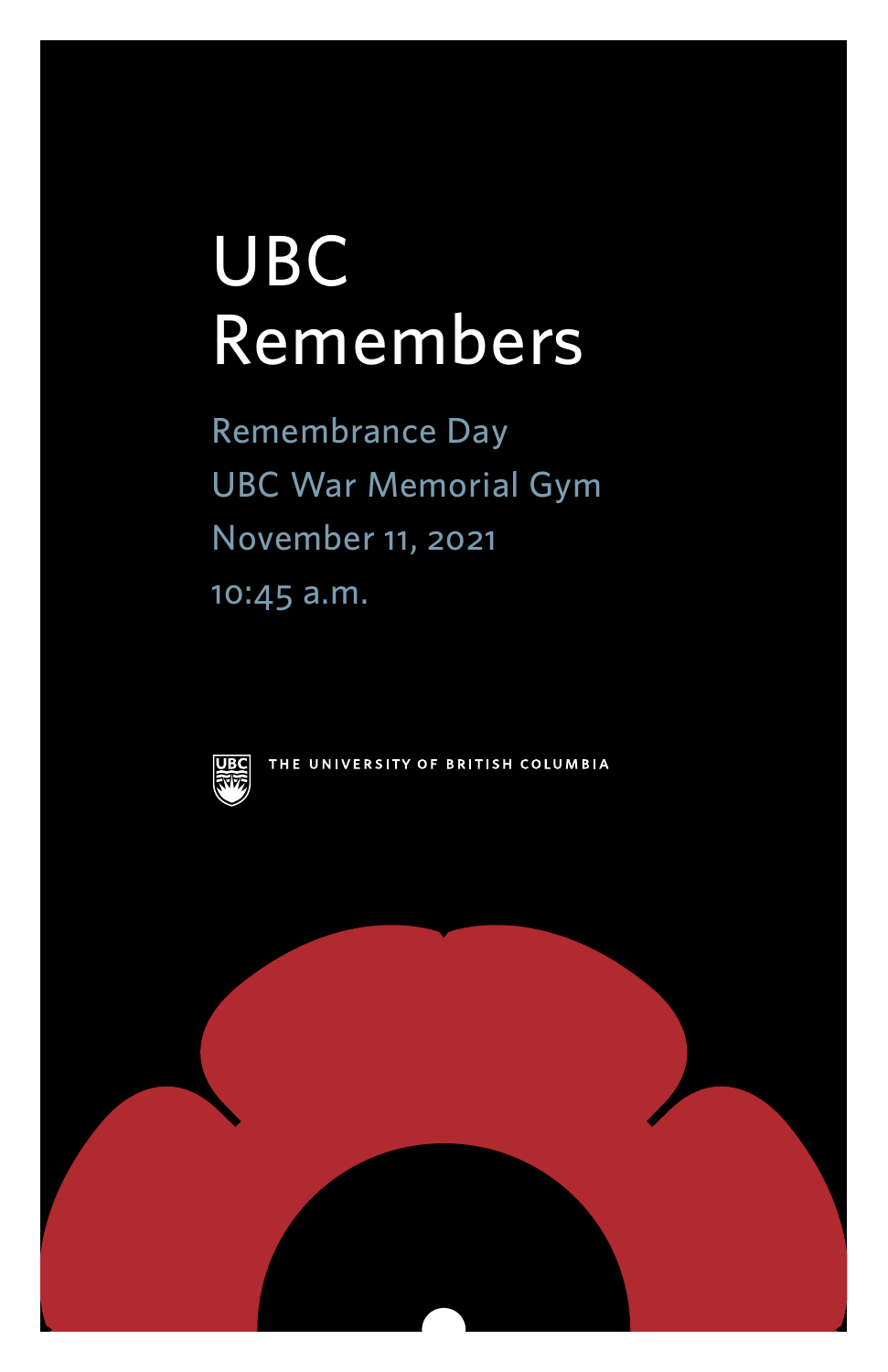# UBC Remembers

Remembrance Day UBC War Memorial Gym November 11, 2021 10:45 a.m.



THE UNIVERSITY OF BRITISH COLUMBIA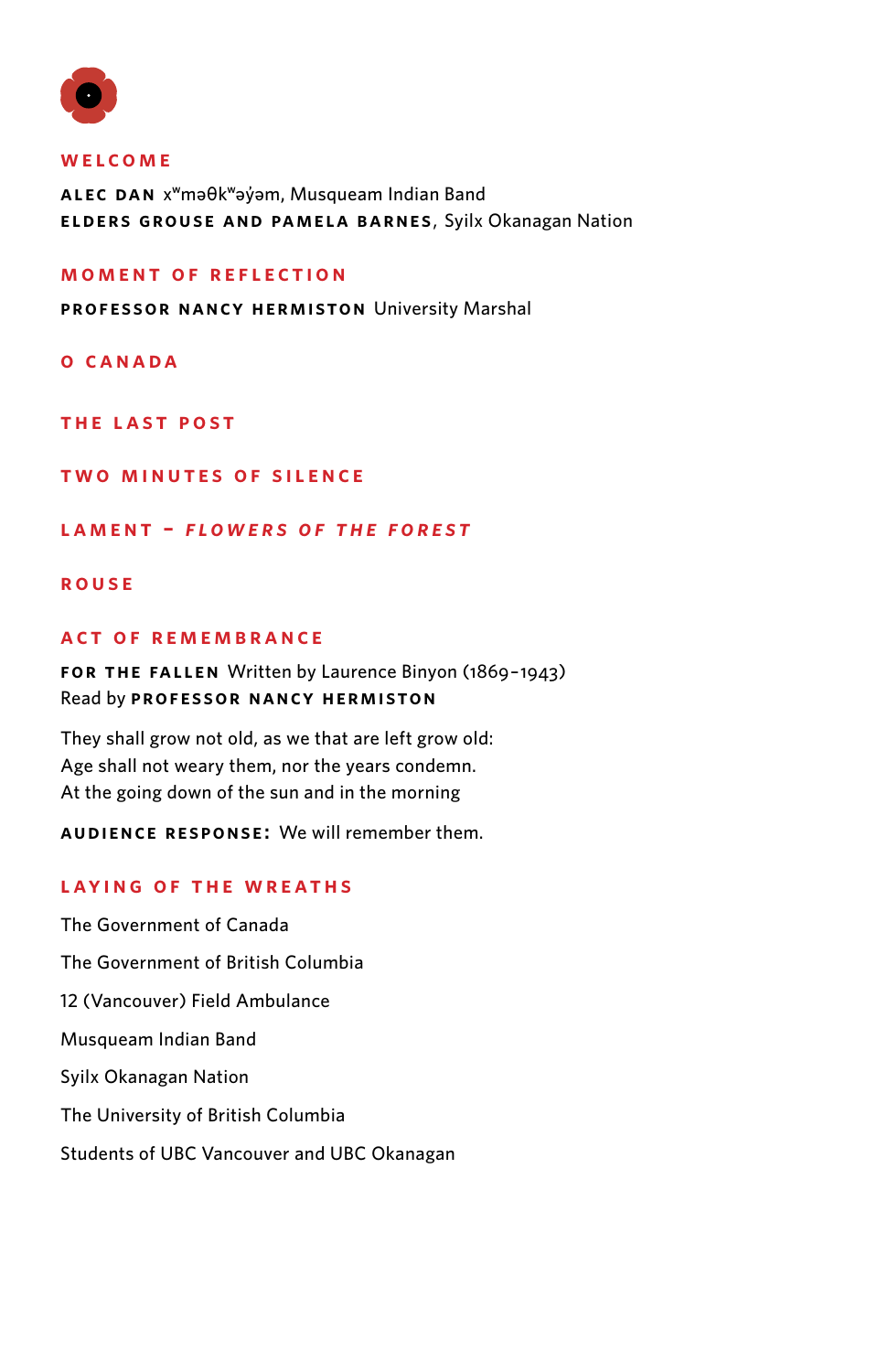

#### **WELCOME**

**ALEC DAN** xʷməθkʷəy̓əm, Musqueam Indian Band **ELDERS GROUSE AND PAMELA BARNES**, Syilx Okanagan Nation

#### **MOMENT OF REFLECTION**

**professor nancy hermiston** University Marshal

**O CANADA**

**THE LAST POST**

**TWO MINUTES of SILENCE**

**Lament –** *Flowers of the Forest*

### **ROUSE**

### **a c t O F R E M E M B R A N C E**

**FOR THE FALLEN** Written by Laurence Binyon (1869–1943) Read by **Professor Nancy Hermiston**

They shall grow not old, as we that are left grow old: Age shall not weary them, nor the years condemn. At the going down of the sun and in the morning

**AUDIENCE RESPONSE:** We will remember them.

## **laying of the wreaths**

The Government of Canada The Government of British Columbia 12 (Vancouver) Field Ambulance Musqueam Indian Band Syilx Okanagan Nation The University of British Columbia Students of UBC Vancouver and UBC Okanagan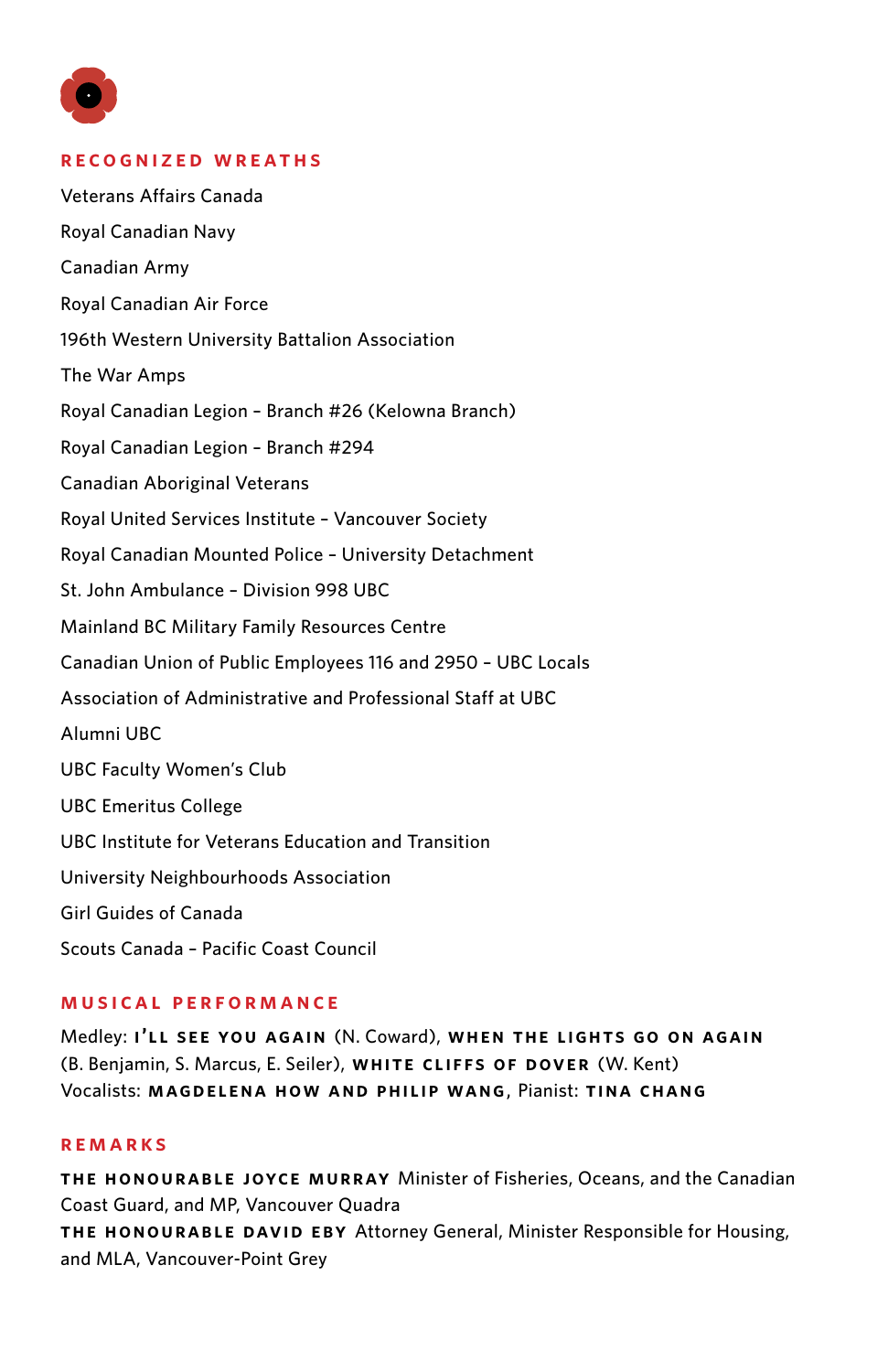

## **recognized wreaths**

Veterans Affairs Canada Royal Canadian Navy Canadian Army Royal Canadian Air Force 196th Western University Battalion Association The War Amps Royal Canadian Legion – Branch #26 (Kelowna Branch) Royal Canadian Legion – Branch #294 Canadian Aboriginal Veterans Royal United Services Institute – Vancouver Society Royal Canadian Mounted Police – University Detachment St. John Ambulance – Division 998 UBC Mainland BC Military Family Resources Centre Canadian Union of Public Employees 116 and 2950 – UBC Locals Association of Administrative and Professional Staff at UBC Alumni UBC UBC Faculty Women's Club UBC Emeritus College UBC Institute for Veterans Education and Transition University Neighbourhoods Association Girl Guides of Canada Scouts Canada – Pacific Coast Council

## **musical performance**

Medley: **I'LL SEE YOU AGAIN** (N. Coward), **WHEN THE LIGHTS GO ON AGAIN**  (B. Benjamin, S. Marcus, E. Seiler), **WHITE CLIFFS OF DOVER** (W. Kent) Vocalists: **Magdelena How and Philip Wang**, Pianist: **Tina Chang**

## **remarks**

**the honourable joyce murray** Minister of Fisheries, Oceans, and the Canadian Coast Guard, and MP, Vancouver Quadra **the honourable david ebY** Attorney General, Minister Responsible for Housing, and MLA, Vancouver-Point Grey